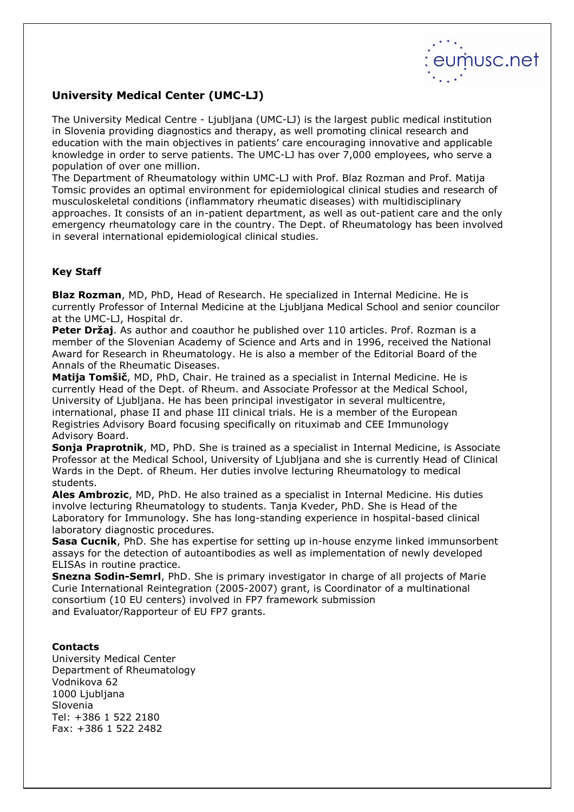

## University Medical Center (UMC-LJ)

The University Medical Centre - Ljubljana (UMC-LJ) is the largest public medical institution in Slovenia providing diagnostics and therapy, as well promoting clinical research and education with the main objectives in patients' care encouraging innovative and applicable knowledge in order to serve patients. The UMC-LJ has over 7,000 employees, who serve a population of over one million.

The Department of Rheumatology within UMC-LJ with Prof. Blaz Rozman and Prof. Matija Tomsic provides an optimal environment for epidemiological clinical studies and research of musculoskeletal conditions (inflammatory rheumatic diseases) with multidisciplinary approaches. It consists of an in-patient department, as well as out-patient care and the only emergency rheumatology care in the country. The Dept. of Rheumatology has been involved in several international epidemiological clinical studies.

## Key Staff

Blaz Rozman, MD, PhD, Head of Research. He specialized in Internal Medicine. He is currently Professor of Internal Medicine at the Ljubljana Medical School and senior councilor at the UMC-LJ, Hospital dr.

Peter Držaj. As author and coauthor he published over 110 articles. Prof. Rozman is a member of the Slovenian Academy of Science and Arts and in 1996, received the National Award for Research in Rheumatology. He is also a member of the Editorial Board of the Annals of the Rheumatic Diseases.

Matija Tomšič, MD, PhD, Chair. He trained as a specialist in Internal Medicine. He is currently Head of the Dept. of Rheum. and Associate Professor at the Medical School, University of Ljubljana. He has been principal investigator in several multicentre, international, phase II and phase III clinical trials. He is a member of the European Registries Advisory Board focusing specifically on rituximab and CEE Immunology Advisory Board.

Sonja Praprotnik, MD, PhD. She is trained as a specialist in Internal Medicine, is Associate Professor at the Medical School, University of Ljubljana and she is currently Head of Clinical Wards in the Dept. of Rheum. Her duties involve lecturing Rheumatology to medical students.

Ales Ambrozic, MD, PhD. He also trained as a specialist in Internal Medicine. His duties involve lecturing Rheumatology to students. Tanja Kveder, PhD. She is Head of the Laboratory for Immunology. She has long-standing experience in hospital-based clinical laboratory diagnostic procedures.

**Sasa Cucnik**, PhD. She has expertise for setting up in-house enzyme linked immunsorbent assays for the detection of autoantibodies as well as implementation of newly developed ELISAs in routine practice.

**Snezna Sodin-Semrl**, PhD. She is primary investigator in charge of all projects of Marie Curie International Reintegration (2005-2007) grant, is Coordinator of a multinational consortium (10 EU centers) involved in FP7 framework submission and Evaluator/Rapporteur of EU FP7 grants.

## **Contacts**

University Medical Center Department of Rheumatology Vodnikova 62 1000 Liubliana Slovenia Tel: +386 1 522 2180 Fax: +386 1 522 2482